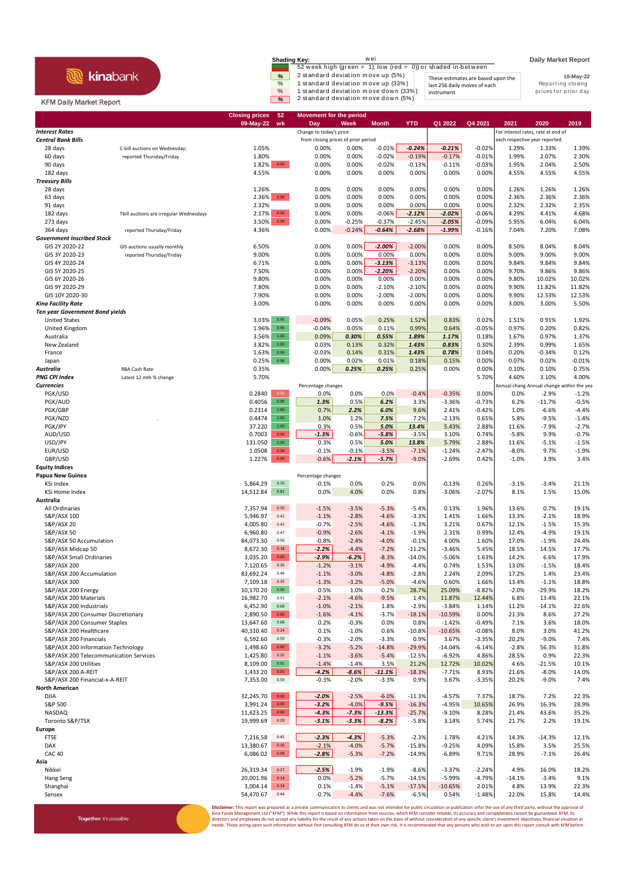## **R** kinabank

Together it's possible

| <b>Shading Key:</b> | wei                                                           |                                    | <b>Daily Market Report</b> |
|---------------------|---------------------------------------------------------------|------------------------------------|----------------------------|
|                     | 52 week high (green = 1), low (red = 0)) or shaded in-between |                                    |                            |
| %                   | 2 standard deviation move up (5%)                             | These estimates are based upon the | 10-May-22                  |
| $\%$                | 1 standard deviation move up (33%)                            | last 256 daily moves of each       | Reporting closing          |
| $\%$                | 1 standard deviation move down (33%)                          | instrument                         | prices for prior day       |
| $\%$                | 2 standard deviation move down (5%)                           |                                    |                            |

## **Daily Market Report**

## KFM Daily Market Report

|                                                                              |                                         | <b>Closing prices</b><br>09-May-22 | 52<br>wk         | <b>Movement for the period</b><br>Day | Week               | <b>Month</b>         | <b>YTD</b>           | Q1 2022               | Q4 2021              | 2021             | 2020                                      | 2019               |
|------------------------------------------------------------------------------|-----------------------------------------|------------------------------------|------------------|---------------------------------------|--------------------|----------------------|----------------------|-----------------------|----------------------|------------------|-------------------------------------------|--------------------|
| <b>Interest Rates</b>                                                        |                                         |                                    |                  | Change to today's price               |                    |                      |                      |                       |                      |                  | For interest rates, rate at end of        |                    |
| <b>Central Bank Bills</b>                                                    |                                         |                                    |                  | from closing prices of prior period   |                    |                      |                      |                       |                      |                  | each respective year reported.            |                    |
| 28 days                                                                      | C-bill auctions on Wednesday;           | 1.05%                              |                  | 0.00%                                 | 0.00%              | $-0.01%$             | $-0.24%$             | $-0.21%$              | $-0.02%$             | 1.29%            | 1.33%                                     | 1.39%              |
| 60 days                                                                      | reported Thursday/Friday                | 1.80%                              |                  | 0.00%                                 | 0.00%              | $-0.02%$             | $-0.19%$             | $-0.17%$              | $-0.01%$             | 1.99%            | 2.07%                                     | 2.30%              |
| 90 days                                                                      |                                         | 1.82%                              | 0.00             | 0.00%                                 | 0.00%<br>0.00%     | $-0.02%$             | $-0.13%$             | $-0.11%$<br>0.00%     | $-0.03%$             | 1.95%            | 2.04%                                     | 2.50%              |
| 182 days<br><b>Treasury Bills</b>                                            |                                         | 4.55%                              |                  | 0.00%                                 |                    | 0.00%                | 0.00%                |                       | 0.00%                | 4.55%            | 4.55%                                     | 4.55%              |
| 28 days                                                                      |                                         | 1.26%                              |                  | 0.00%                                 | 0.00%              | 0.00%                | 0.00%                | 0.00%                 | 0.00%                | 1.26%            | 1.26%                                     | 1.26%              |
| 63 days                                                                      |                                         | 2.36%                              | $0.00\,$         | 0.00%                                 | 0.00%              | 0.00%                | 0.00%                | 0.00%                 | 0.00%                | 2.36%            | 2.36%                                     | 2.36%              |
| 91 days                                                                      |                                         | 2.32%                              |                  | 0.00%                                 | 0.00%              | 0.00%                | 0.00%                | 0.00%                 | 0.00%                | 2.32%            | 2.32%                                     | 2.35%              |
| 182 days                                                                     | Tbill auctions are irregular Wednesdays | 2.17%                              | 0.00             | 0.00%                                 | 0.00%              | $-0.06%$             | $-2.12%$             | $-2.02%$              | $-0.06%$             | 4.29%            | 4.41%                                     | 4.68%              |
| 273 days                                                                     |                                         | 3.50%                              | $0.00\,$         | 0.00%                                 | $-0.25%$           | $-0.37%$             | $-2.45%$             | $-2.05%$              | $-0.09%$             | 5.95%            | 6.04%                                     | 6.04%              |
| 364 days<br><b>Government Inscribed Stock</b>                                | reported Thursday/Friday                | 4.36%                              |                  | 0.00%                                 | $-0.24%$           | $-0.64%$             | $-2.68%$             | $-1.99%$              | $-0.16%$             | 7.04%            | 7.20%                                     | 7.08%              |
| GIS 2Y 2020-22                                                               | GIS auctions usually monthly            | 6.50%                              |                  | 0.00%                                 | 0.00%              | $-2.00%$             | $-2.00%$             | 0.00%                 | 0.00%                | 8.50%            | 8.04%                                     | 8.04%              |
| GIS 3Y 2020-23                                                               | reported Thursday/Friday                | 9.00%                              |                  | 0.00%                                 | 0.00%              | 0.00%                | 0.00%                | 0.00%                 | 0.00%                | 9.00%            | 9.00%                                     | 9.00%              |
| GIS 4Y 2020-24                                                               |                                         | 6.71%                              |                  | 0.00%                                 | 0.00%              | $-3.13%$             | $-3.13%$             | 0.00%                 | 0.00%                | 9.84%            | 9.84%                                     | 9.84%              |
| GIS 5Y 2020-25                                                               |                                         | 7.50%                              |                  | 0.00%                                 | 0.00%              | $-2.20%$             | $-2.20%$             | 0.00%                 | 0.00%                | 9.70%            | 9.86%                                     | 9.86%              |
| GIS 6Y 2020-26                                                               |                                         | 9.80%                              |                  | 0.00%                                 | 0.00%              | 0.00%                | 0.00%                | 0.00%                 | 0.00%                | 9.80%            | 10.02%                                    | 10.02%             |
| GIS 9Y 2020-29<br>GIS 10Y 2020-30                                            |                                         | 7.80%<br>7.90%                     |                  | 0.00%<br>0.00%                        | 0.00%<br>0.00%     | $-2.10%$<br>$-2.00%$ | $-2.10%$<br>$-2.00%$ | 0.00%<br>0.00%        | 0.00%<br>0.00%       | 9.90%<br>9.90%   | 11.82%<br>12.53%                          | 11.82%<br>12.53%   |
| <b>Kina Facility Rate</b>                                                    |                                         | 3.00%                              |                  | 0.00%                                 | 0.00%              | 0.00%                | 0.00%                | 0.00%                 | 0.00%                | 3.00%            | 3.00%                                     | 5.50%              |
| <b>Ten year Government Bond yields</b>                                       |                                         |                                    |                  |                                       |                    |                      |                      |                       |                      |                  |                                           |                    |
| <b>United States</b>                                                         |                                         | 3.03%                              | 0.95             | $-0.09%$                              | 0.05%              | 0.25%                | 1.52%                | 0.83%                 | 0.02%                | 1.51%            | 0.91%                                     | 1.92%              |
| United Kingdom                                                               |                                         | 1.96%                              | 0.96             | $-0.04%$                              | 0.05%              | 0.11%                | 0.99%                | 0.64%                 | $-0.05%$             | 0.97%            | 0.20%                                     | 0.82%              |
| Australia                                                                    |                                         | 3.56%                              | 1.00             | 0.09%                                 | 0.30%              | 0.55%                | 1.89%                | 1.17%                 | 0.18%                | 1.67%            | 0.97%                                     | 1.37%              |
| New Zealand                                                                  |                                         | 3.82%                              | $1.00\,$<br>0.99 | 0.03%                                 | 0.13%              | 0.32%                | 1.43%                | 0.83%                 | 0.30%                | 2.39%            | 0.99%                                     | 1.65%              |
| France<br>Japan                                                              |                                         | 1.63%<br>0.25%                     | 0.98             | $-0.03%$<br>0.00%                     | 0.14%<br>0.02%     | 0.31%<br>0.01%       | 1.43%<br>0.18%       | 0.78%<br>0.15%        | 0.04%<br>0.00%       | 0.20%<br>0.07%   | $-0.34%$<br>0.02%                         | 0.12%<br>$-0.01%$  |
| Australia                                                                    | RBA Cash Rate                           | 0.35%                              |                  | 0.00%                                 | 0.25%              | 0.25%                | 0.25%                | 0.00%                 | 0.00%                | 0.10%            | 0.10%                                     | 0.75%              |
| <b>PNG CPI Index</b>                                                         | Latest 12 mth % change                  | 5.70%                              |                  |                                       |                    |                      |                      |                       | 5.70%                | 4.60%            | 3.10%                                     | 4.00%              |
| <b>Currencies</b>                                                            |                                         |                                    |                  | Percentage changes                    |                    |                      |                      |                       |                      |                  | Annual chang Annual change within the yea |                    |
| PGK/USD                                                                      |                                         | 0.2840                             | 0.00             | 0.0%                                  | 0.0%               | 0.0%                 | $-0.4%$              | $-0.35%$              | 0.00%                | 0.0%             | $-2.9%$                                   | $-1.2%$            |
| PGK/AUD                                                                      |                                         | 0.4056                             | 0.99<br>1.00     | 1.3%                                  | 0.5%               | 6.2%                 | 3.3%                 | $-3.36%$              | $-0.73%$             | 6.2%             | $-11.7%$                                  | $-0.5%$            |
| PGK/GBP<br>PGK/NZD                                                           |                                         | 0.2314<br>0.4474                   | $1.00\,$         | 0.7%<br>1.0%                          | 2.2%<br>1.2%       | 6.0%<br>7.5%         | 9.6%<br>7.2%         | 2.41%<br>$-2.13%$     | $-0.42%$<br>0.65%    | 1.0%<br>5.8%     | $-6.6%$<br>$-9.5%$                        | $-4.4%$<br>$-1.4%$ |
| PGK/JPY                                                                      |                                         | 37.220                             | $1.00\,$         | 0.3%                                  | 0.5%               | 5.0%                 | 13.4%                | 5.43%                 | 2.88%                | 11.6%            | $-7.9%$                                   | $-2.7%$            |
| AUD/USD                                                                      |                                         | 0.7003                             | $0.00\,$         | $-1.3%$                               | $-0.6%$            | $-5.8%$              | $-3.5%$              | 3.10%                 | 0.74%                | $-5.8%$          | 9.9%                                      | $-0.7%$            |
| USD/JPY                                                                      |                                         | 131.050                            | 1.00             | 0.3%                                  | 0.5%               | 5.0%                 | 13.8%                | 5.79%                 | 2.88%                | 11.6%            | $-5.1%$                                   | $-1.5%$            |
| EUR/USD                                                                      |                                         | 1.0508                             | 0.00             | $-0.1%$                               | $-0.1%$            | $-3.5%$              | $-7.1%$              | $-1.24%$              | $-2.47%$             | $-8.0%$          | 9.7%                                      | $-1.9%$            |
| GBP/USD                                                                      |                                         | 1.2276                             | 0.00             | $-0.6%$                               | $-2.1%$            | $-5.7%$              | $-9.0%$              | $-2.69%$              | 0.42%                | $-1.0%$          | 3.9%                                      | 3.4%               |
| <b>Equity Indices</b><br>Papua New Guinea                                    |                                         |                                    |                  | Percentage changes                    |                    |                      |                      |                       |                      |                  |                                           |                    |
| KSi Index                                                                    |                                         | 5,864.29                           | 0.70             | $-0.1%$                               | 0.0%               | 0.2%                 | 0.0%                 | $-0.13%$              | 0.26%                | $-3.1%$          | $-3.4%$                                   | 21.1%              |
| KSi Home Index                                                               |                                         | 14,512.84                          | 0.81             | 0.0%                                  | 4.0%               | 0.0%                 | 0.8%                 | $-3.06%$              | $-2.07%$             | 8.1%             | 1.5%                                      | 15.0%              |
| Australia                                                                    |                                         |                                    |                  |                                       |                    |                      |                      |                       |                      |                  |                                           |                    |
| All Ordinaries                                                               |                                         | 7,357.94                           | 0.30             | $-1.5%$                               | $-3.5%$            | $-5.3%$              | $-5.4%$              | 0.13%                 | 1.96%                | 13.6%            | 0.7%                                      | 19.1%              |
| S&P/ASX 100                                                                  |                                         | 5,946.97                           | 0.42             | $-1.1%$                               | $-2.8%$            | $-4.6%$              | $-3.3%$              | 1.41%                 | 1.66%                | 13.3%            | $-2.1%$                                   | 18.9%              |
| <b>S&amp;P/ASX 20</b><br>S&P/ASX 50                                          |                                         | 4,005.80<br>6,960.80               | 0.42<br>0.47     | $-0.7%$<br>$-0.9%$                    | $-2.5%$<br>$-2.6%$ | $-4.6%$<br>$-4.1%$   | $-1.3%$<br>$-1.9%$   | 3.21%<br>2.31%        | 0.67%<br>0.99%       | 12.1%<br>12.4%   | $-1.5%$<br>$-4.9%$                        | 15.3%<br>19.1%     |
| S&P/ASX 50 Accumulation                                                      |                                         | 84,073.30                          | 0.56             | $-0.8%$                               | $-2.4%$            | $-4.0%$              | $-0.1%$              | 4.00%                 | 1.60%                | 17.0%            | $-1.9%$                                   | 24.4%              |
| S&P/ASX Midcap 50                                                            |                                         | 8,672.30                           | 0.18             | $-2.2%$                               | $-4.4%$            | $-7.2%$              | $-11.2%$             | $-3.46%$              | 5.45%                | 18.5%            | 14.5%                                     | 17.7%              |
| S&P/ASX Small Ordinaries                                                     |                                         | 3,035.20                           | $0.00\,$         | $-2.9%$                               | $-6.2%$            | $-8.3%$              | $-14.0%$             | $-5.06%$              | 1.63%                | 14.2%            | 6.6%                                      | 17.9%              |
| S&P/ASX 200                                                                  |                                         | 7,120.65                           | 0.36             | $-1.2%$                               | $-3.1%$            | $-4.9%$              | $-4.4%$              | 0.74%                 | 1.53%                | 13.0%            | $-1.5%$                                   | 18.4%              |
| S&P/ASX 200 Accumulation                                                     |                                         | 83,692.24                          | 0.49             | $-1.1%$                               | $-3.0%$            | $-4.8%$              | $-2.8%$              | 2.24%                 | 2.09%                | 17.2%            | 1.4%                                      | 23.4%              |
| S&P/ASX 300<br>S&P/ASX 200 Energy                                            |                                         | 7,109.18<br>10,170.20              | 0.35<br>0.90     | $-1.3%$<br>0.5%                       | $-3.2%$<br>1.0%    | $-5.0%$<br>0.2%      | $-4.6%$<br>28.7%     | 0.60%<br>25.09%       | 1.66%<br>$-8.82%$    | 13.4%<br>$-2.0%$ | $-1.1%$<br>$-29.9%$                       | 18.8%<br>18.2%     |
| S&P/ASX 200 Materials                                                        |                                         | 16,982.70                          | 0.51             | $-2.1%$                               | $-4.6%$            | $-9.5%$              | 1.4%                 | 11.87%                | 12.44%               | 6.8%             | 13.4%                                     | 22.1%              |
| S&P/ASX 200 Industrials                                                      |                                         | 6,452.90                           | 0.68             | $-1.0%$                               | $-2.1%$            | 1.8%                 | $-2.9%$              | $-3.84%$              | 1.14%                | 11.2%            | $-14.1%$                                  | 22.6%              |
| S&P/ASX 200 Consumer Discretionary                                           |                                         | 2,890.50                           | $0.00\,$         | $-1.6%$                               | $-4.1%$            | $-3.7%$              | $-18.1%$             | $-10.59%$             | 0.00%                | 21.3%            | 8.6%                                      | 27.2%              |
| S&P/ASX 200 Consumer Staples                                                 |                                         | 13,647.60                          | 0.68             | 0.2%                                  | $-0.3%$            | 0.0%                 | 0.8%                 | $-1.42%$              | $-0.49%$             | 7.1%             | 3.6%                                      | 18.0%              |
| S&P/ASX 200 Healthcare                                                       |                                         | 40,310.40                          | 0.24             | 0.1%                                  | $-1.0%$            | 0.6%                 | $-10.8%$             | $-10.65%$             | $-0.08%$             | 8.0%             | 3.0%                                      | 41.2%              |
| S&P/ASX 200 Financials                                                       |                                         | 6,592.60                           | 0.59<br>0.00     | $-0.3%$                               | $-2.0%$            | $-3.3%$              | 0.9%                 | 3.67%                 | $-3.35%$             | 20.2%            | $-9.0%$                                   | 7.4%               |
| S&P/ASX 200 Information Technology<br>S&P/ASX 200 Telecommunication Services |                                         | 1,498.60<br>1,425.80               | 0.25             | $-3.2%$<br>$-1.1%$                    | $-5.2%$<br>$-3.6%$ | $-14.8%$<br>$-5.4%$  | $-29.9%$<br>$-12.5%$ | $-14.04%$<br>$-6.92%$ | $-6.14%$<br>4.86%    | $-2.8%$<br>28.5% | 56.3%<br>0.9%                             | 31.8%<br>22.3%     |
| S&P/ASX 200 Utilities                                                        |                                         | 8,109.00                           | 0.91             | $-1.4%$                               | $-1.4%$            | 3.5%                 | 21.2%                | 12.72%                | 10.02%               | 4.6%             | $-21.5%$                                  | 10.1%              |
| S&P/ASX 200 A-REIT                                                           |                                         | 1,433.20                           | $0.01\,$         | $-4.2%$                               | $-8.6%$            | $-11.1%$             | $-18.3%$             | $-7.71%$              | 8.93%                | 21.6%            | $-8.0%$                                   | 14.0%              |
| S&P/ASX 200 Financial-x-A-REIT                                               |                                         | 7,353.00                           | 0.59             | $-0.3%$                               | $-2.0%$            | $-3.3%$              | 0.9%                 | 3.67%                 | $-3.35%$             | 20.2%            | $-9.0%$                                   | 7.4%               |
| <b>North American</b>                                                        |                                         |                                    |                  |                                       |                    |                      |                      |                       |                      |                  |                                           |                    |
| DJIA                                                                         |                                         | 32,245.70                          | $0.00\,$         | $-2.0%$                               | $-2.5%$            | $-6.0%$              | $-11.3%$             | $-4.57%$              | 7.37%                | 18.7%            | 7.2%                                      | 22.3%              |
| S&P 500<br><b>NASDAQ</b>                                                     |                                         | 3,991.24<br>11,623.25              | $0.00\,$<br>0.00 | $-3.2%$<br>$-4.3%$                    | $-4.0%$<br>$-7.3%$ | $-9.5%$<br>$-13.3%$  | $-16.3%$<br>$-25.7%$ | $-4.95%$<br>$-9.10%$  | 10.65%               | 26.9%            | 16.3%                                     | 28.9%<br>35.2%     |
| Toronto S&P/TSX                                                              |                                         | 19,999.69                          | 0.29             | $-3.1%$                               | $-3.3%$            | $-8.2%$              | $-5.8%$              | 3.14%                 | 8.28%<br>5.74%       | 21.4%<br>21.7%   | 43.6%<br>2.2%                             | 19.1%              |
| Europe                                                                       |                                         |                                    |                  |                                       |                    |                      |                      |                       |                      |                  |                                           |                    |
| <b>FTSE</b>                                                                  |                                         | 7,216.58                           | 0.45             | $-2.3%$                               | $-4.3%$            | $-5.3%$              | $-2.3%$              | 1.78%                 | 4.21%                | 14.3%            | $-14.3%$                                  | 12.1%              |
| DAX                                                                          |                                         | 13,380.67                          | 0.16             | $-2.1%$                               | $-4.0%$            | $-5.7%$              | $-15.8%$             | $-9.25%$              | 4.09%                | 15.8%            | 3.5%                                      | 25.5%              |
| <b>CAC 40</b>                                                                |                                         | 6,086.02                           | 0.09             | $-2.8%$                               | $-5.3%$            | $-7.2%$              | $-14.9%$             | $-6.89%$              | 9.71%                | 28.9%            | $-7.1%$                                   | 26.4%              |
| Asia                                                                         |                                         |                                    | 0.27             |                                       |                    |                      |                      |                       |                      |                  |                                           |                    |
| Nikkei<br>Hang Seng                                                          |                                         | 26,319.34<br>20,001.96             | 0.14             | $-2.5%$<br>0.0%                       | $-1.9%$<br>$-5.2%$ | $-1.9%$<br>$-5.7%$   | $-8.6%$<br>$-14.5%$  | $-3.37%$<br>$-5.99%$  | $-2.24%$<br>$-4.79%$ | 4.9%<br>$-14.1%$ | 16.0%<br>$-3.4%$                          | 18.2%<br>9.1%      |
| Shanghai                                                                     |                                         | 3,004.14                           | 0.14             | 0.1%                                  | $-1.4%$            | $-5.1%$              | $-17.5%$             | $-10.65%$             | 2.01%                | 4.8%             | 13.9%                                     | 22.3%              |
| Sensex                                                                       |                                         | 54,470.67                          | 0.44             | $-0.7%$                               | $-4.4%$            | $-7.6%$              | $-6.5%$              | 0.54%                 | $-1.48%$             | 22.0%            | 15.8%                                     | 14.4%              |
|                                                                              |                                         |                                    |                  |                                       |                    |                      |                      |                       |                      |                  |                                           |                    |

**Disclaimer**: This report was prepared as a private communication to clients and was not intended for public circulation or publication orfor the use of any third party, without the approval of<br>Kina Funds Management Ltd ("